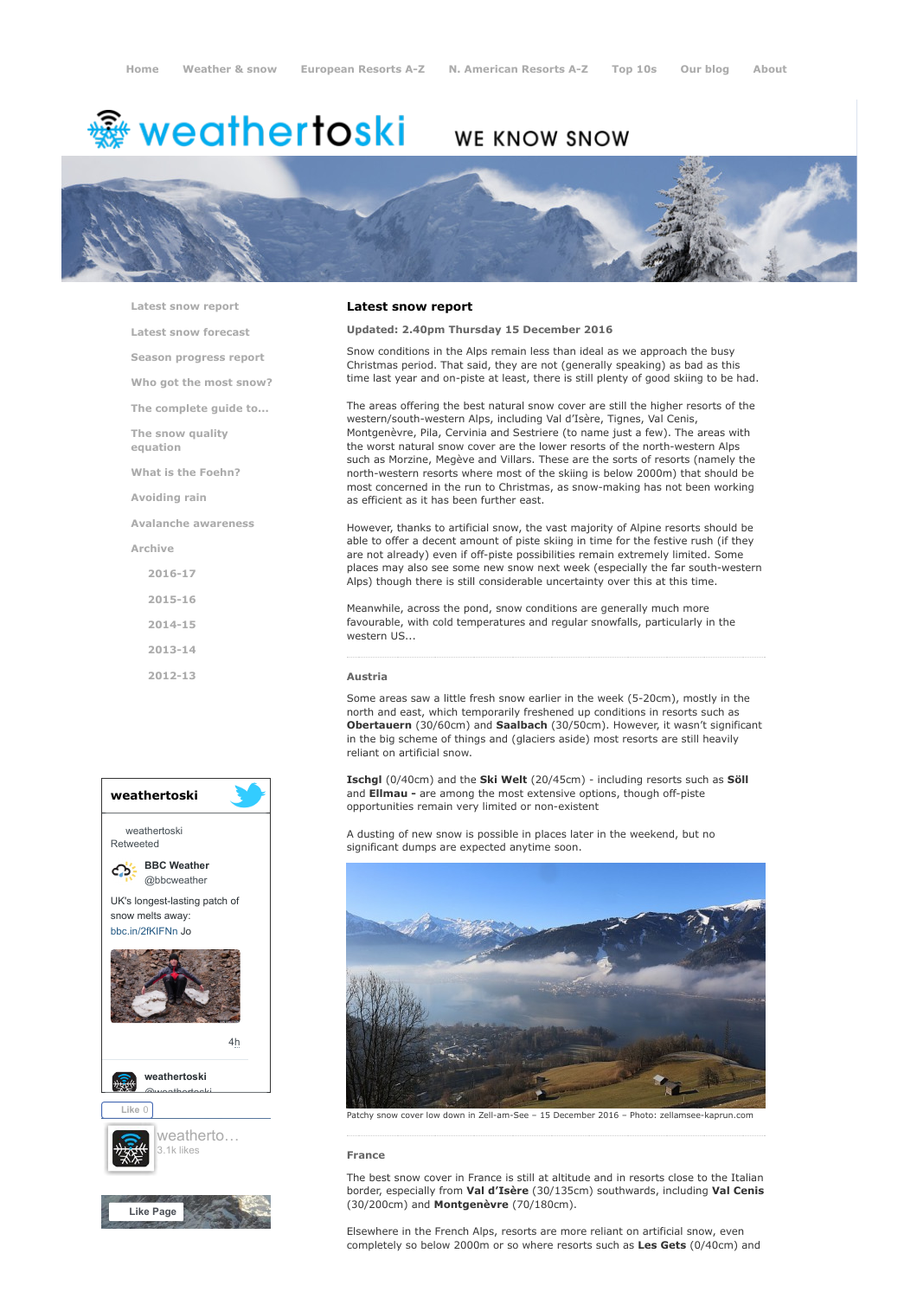# <del>鑾</del> weathertoski

# WE KNOW SNOW



[Latest snow report](https://www.weathertoski.co.uk/weather-snow/latest-snow-report/)

[Latest snow forecast](https://www.weathertoski.co.uk/weather-snow/latest-snow-forecast/)

[Season progress report](https://www.weathertoski.co.uk/weather-snow/season-progress-report/)

[Who got the most snow?](https://www.weathertoski.co.uk/weather-snow/who-got-the-most-snow/)

[The complete guide to...](https://www.weathertoski.co.uk/weather-snow/the-complete-guide-to/)

[The snow quality](https://www.weathertoski.co.uk/weather-snow/the-snow-quality-equation/)

[What is the Foehn?](https://www.weathertoski.co.uk/weather-snow/what-is-the-foehn/)

[Avoiding rain](https://www.weathertoski.co.uk/weather-snow/avoiding-rain/)

equation

[Avalanche awareness](https://www.weathertoski.co.uk/weather-snow/avalanche-awareness/)

[Archive](https://www.weathertoski.co.uk/weather-snow/archive/)

- [2016-17](https://www.weathertoski.co.uk/weather-snow/archive/2016-17/) [2015-16](https://www.weathertoski.co.uk/weather-snow/archive/2015-16/)
- [2014-15](https://www.weathertoski.co.uk/weather-snow/archive/2014-15/)
- 

[2013-14](https://www.weathertoski.co.uk/weather-snow/archive/2013-14/)

[2012-13](https://www.weathertoski.co.uk/weather-snow/archive/2012-13/)



# Latest snow report

### Updated: 2.40pm Thursday 15 December 2016

Snow conditions in the Alps remain less than ideal as we approach the busy Christmas period. That said, they are not (generally speaking) as bad as this time last year and on-piste at least, there is still plenty of good skiing to be had.

The areas offering the best natural snow cover are still the higher resorts of the western/south-western Alps, including Val d'Isère, Tignes, Val Cenis, Montgenèvre, Pila, Cervinia and Sestriere (to name just a few). The areas with the worst natural snow cover are the lower resorts of the north-western Alps such as Morzine, Megève and Villars. These are the sorts of resorts (namely the north-western resorts where most of the skiing is below 2000m) that should be most concerned in the run to Christmas, as snow-making has not been working as efficient as it has been further east.

However, thanks to artificial snow, the vast majority of Alpine resorts should be able to offer a decent amount of piste skiing in time for the festive rush (if they are not already) even if off-piste possibilities remain extremely limited. Some places may also see some new snow next week (especially the far south-western Alps) though there is still considerable uncertainty over this at this time.

Meanwhile, across the pond, snow conditions are generally much more favourable, with cold temperatures and regular snowfalls, particularly in the western US...

#### Austria

Some areas saw a little fresh snow earlier in the week (5-20cm), mostly in the north and east, which temporarily freshened up conditions in resorts such as Obertauern (30/60cm) and Saalbach (30/50cm). However, it wasn't significant in the big scheme of things and (glaciers aside) most resorts are still heavily reliant on artificial snow.

Ischgl (0/40cm) and the Ski Welt (20/45cm) - including resorts such as Söll and **Ellmau** - are among the most extensive options, though off-piste opportunities remain very limited or non-existent

A dusting of new snow is possible in places later in the weekend, but no significant dumps are expected anytime soon.



Patchy snow cover low down in Zell-am-See – 15 December 2016 – Photo: zellamsee-kaprun.com

#### France

The best snow cover in France is still at altitude and in resorts close to the Italian border, especially from Val d'Isère (30/135cm) southwards, including Val Cenis (30/200cm) and Montgenèvre (70/180cm).

Elsewhere in the French Alps, resorts are more reliant on artificial snow, even completely so below 2000m or so where resorts such as Les Gets (0/40cm) and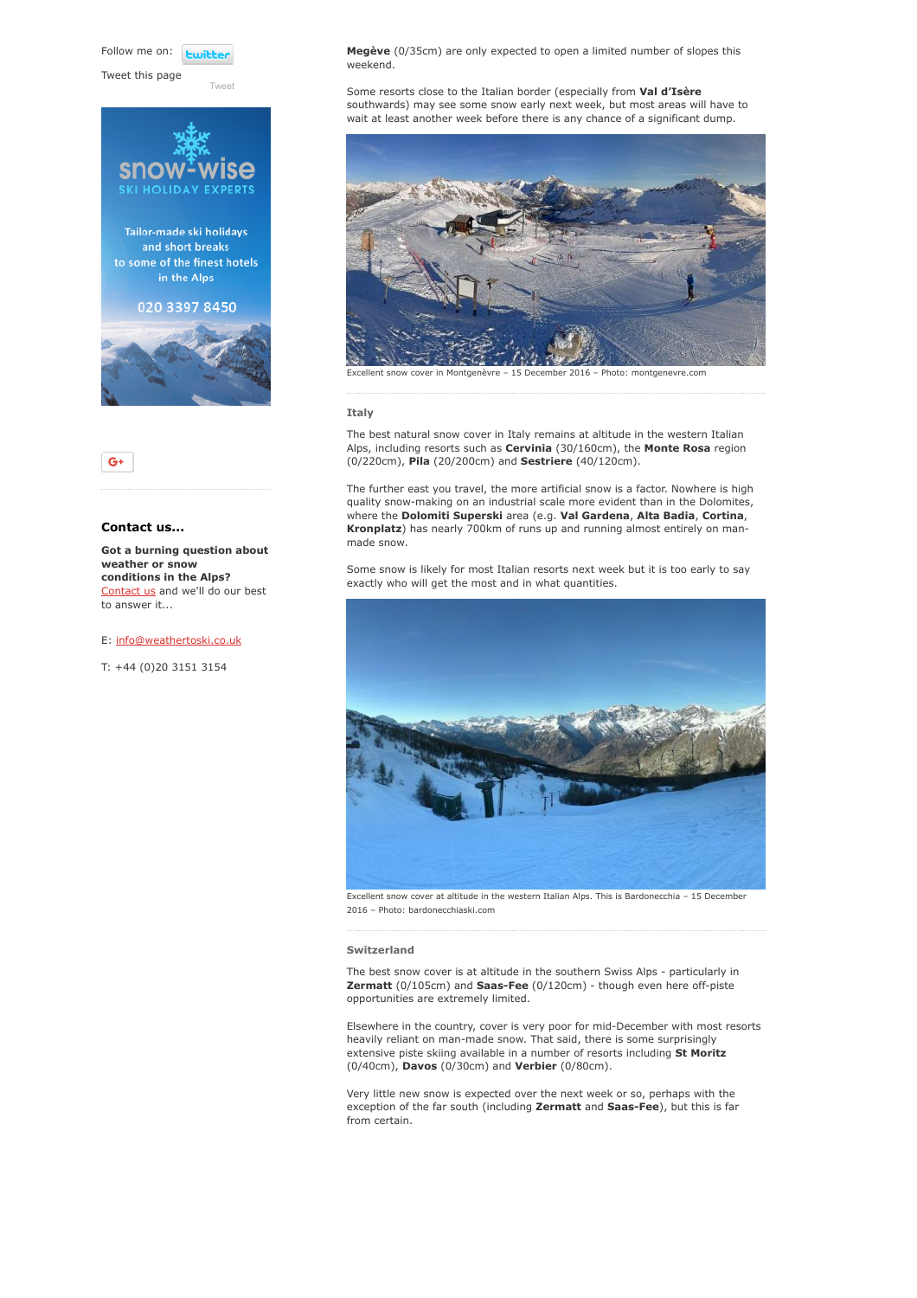Follow me on: **Luitt** 

[Tweet](https://twitter.com/intent/tweet?original_referer=https%3A%2F%2Fwww.weathertoski.co.uk%2Fweather-snow%2Farchive%2Fsnow-report-15-12-2016%2F&ref_src=twsrc%5Etfw&text=Weather%20to%20ski%20-%20Snow%20report%20-%2015%20December%202016&tw_p=tweetbutton&url=https%3A%2F%2Fwww.weathertoski.co.uk%2Fweather-snow%2Farchive%2Fsnow-report-15-12-2016%2F)

Tweet this page





# Contact us...

Got a burning question about weather or snow conditions in the Alps? [Contact us](https://www.weathertoski.co.uk/about-1/contact-us/) and we'll do our best to answer it...

E: [info@weathertoski.co.uk](mailto:fraser@weathertoski.co.uk)

T: +44 (0)20 3151 3154

Megève (0/35cm) are only expected to open a limited number of slopes this weekend.

Some resorts close to the Italian border (especially from Val d'Isère southwards) may see some snow early next week, but most areas will have to wait at least another week before there is any chance of a significant dump.



#### Italy

The best natural snow cover in Italy remains at altitude in the western Italian Alps, including resorts such as Cervinia (30/160cm), the Monte Rosa region (0/220cm), Pila (20/200cm) and Sestriere (40/120cm).

The further east you travel, the more artificial snow is a factor. Nowhere is high quality snow-making on an industrial scale more evident than in the Dolomites, where the Dolomiti Superski area (e.g. Val Gardena, Alta Badia, Cortina, Kronplatz) has nearly 700km of runs up and running almost entirely on manmade snow.

Some snow is likely for most Italian resorts next week but it is too early to say exactly who will get the most and in what quantities.



Excellent snow cover at altitude in the western Italian Alps. This is Bardonecchia – 15 December 2016 – Photo: bardonecchiaski.com

#### Switzerland

The best snow cover is at altitude in the southern Swiss Alps - particularly in Zermatt (0/105cm) and Saas-Fee (0/120cm) - though even here off-piste opportunities are extremely limited.

Elsewhere in the country, cover is very poor for mid-December with most resorts heavily reliant on man-made snow. That said, there is some surprisingly extensive piste skiing available in a number of resorts including St Moritz (0/40cm), Davos (0/30cm) and Verbier (0/80cm).

Very little new snow is expected over the next week or so, perhaps with the exception of the far south (including Zermatt and Saas-Fee), but this is far from certain.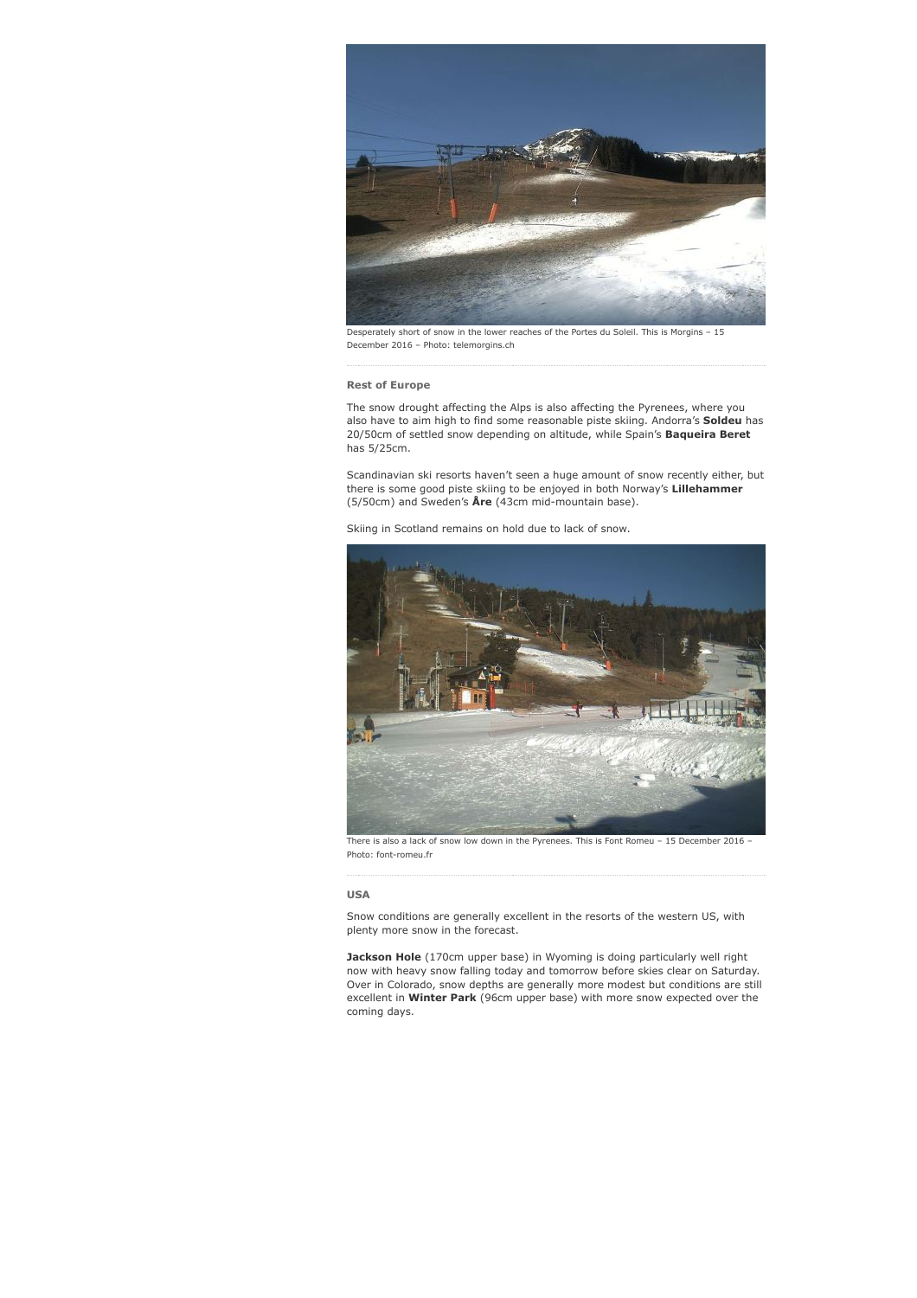

Desperately short of snow in the lower reaches of the Portes du Soleil. This is Morgins – 15 December 2016 – Photo: telemorgins.ch

# Rest of Europe

The snow drought affecting the Alps is also affecting the Pyrenees, where you also have to aim high to find some reasonable piste skiing. Andorra's Soldeu has 20/50cm of settled snow depending on altitude, while Spain's **Baqueira Beret** has 5/25cm.

Scandinavian ski resorts haven't seen a huge amount of snow recently either, but there is some good piste skiing to be enjoyed in both Norway's Lillehammer (5/50cm) and Sweden's Åre (43cm mid-mountain base).

Skiing in Scotland remains on hold due to lack of snow.



There is also a lack of snow low down in the Pyrenees. This is Font Romeu - 15 December 2016 -Photo: font-romeu.fr

#### USA

Snow conditions are generally excellent in the resorts of the western US, with plenty more snow in the forecast.

Jackson Hole (170cm upper base) in Wyoming is doing particularly well right now with heavy snow falling today and tomorrow before skies clear on Saturday. Over in Colorado, snow depths are generally more modest but conditions are still excellent in Winter Park (96cm upper base) with more snow expected over the coming days.